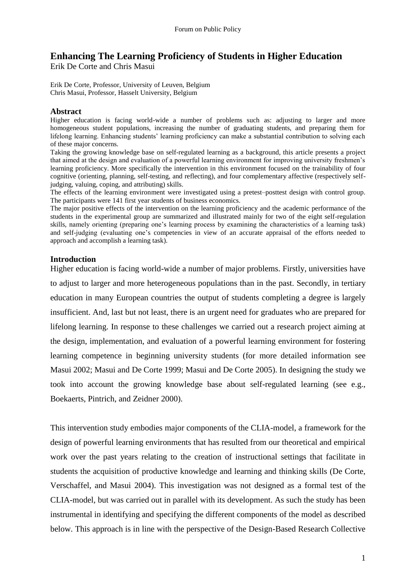# **Enhancing The Learning Proficiency of Students in Higher Education**

Erik De Corte and Chris Masui

Erik De Corte, Professor, University of Leuven, Belgium Chris Masui, Professor, Hasselt University, Belgium

#### **Abstract**

Higher education is facing world-wide a number of problems such as: adjusting to larger and more homogeneous student populations, increasing the number of graduating students, and preparing them for lifelong learning. Enhancing students' learning proficiency can make a substantial contribution to solving each of these major concerns.

Taking the growing knowledge base on self-regulated learning as a background, this article presents a project that aimed at the design and evaluation of a powerful learning environment for improving university freshmen"s learning proficiency. More specifically the intervention in this environment focused on the trainability of four cognitive (orienting, planning, self-testing, and reflecting), and four complementary affective (respectively selfjudging, valuing, coping, and attributing) skills.

The effects of the learning environment were investigated using a pretest–posttest design with control group. The participants were 141 first year students of business economics.

The major positive effects of the intervention on the learning proficiency and the academic performance of the students in the experimental group are summarized and illustrated mainly for two of the eight self-regulation skills, namely orienting (preparing one"s learning process by examining the characteristics of a learning task) and self-judging (evaluating one's competencies in view of an accurate appraisal of the efforts needed to approach and accomplish a learning task).

#### **Introduction**

Higher education is facing world-wide a number of major problems. Firstly, universities have to adjust to larger and more heterogeneous populations than in the past. Secondly, in tertiary education in many European countries the output of students completing a degree is largely insufficient. And, last but not least, there is an urgent need for graduates who are prepared for lifelong learning. In response to these challenges we carried out a research project aiming at the design, implementation, and evaluation of a powerful learning environment for fostering learning competence in beginning university students (for more detailed information see Masui 2002; Masui and De Corte 1999; Masui and De Corte 2005). In designing the study we took into account the growing knowledge base about self-regulated learning (see e.g., Boekaerts, Pintrich, and Zeidner 2000).

This intervention study embodies major components of the CLIA-model, a framework for the design of powerful learning environments that has resulted from our theoretical and empirical work over the past years relating to the creation of instructional settings that facilitate in students the acquisition of productive knowledge and learning and thinking skills (De Corte, Verschaffel, and Masui 2004). This investigation was not designed as a formal test of the CLIA-model, but was carried out in parallel with its development. As such the study has been instrumental in identifying and specifying the different components of the model as described below. This approach is in line with the perspective of the Design-Based Research Collective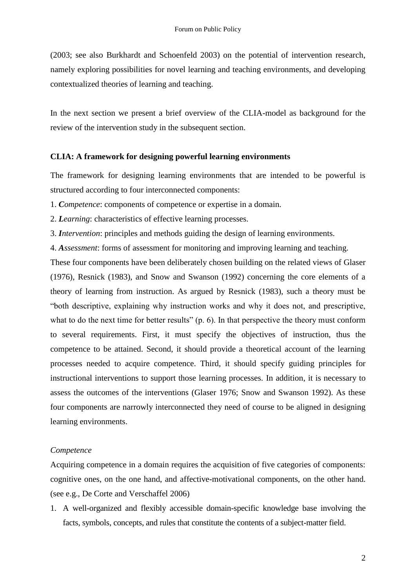(2003; see also Burkhardt and Schoenfeld 2003) on the potential of intervention research, namely exploring possibilities for novel learning and teaching environments, and developing contextualized theories of learning and teaching.

In the next section we present a brief overview of the CLIA-model as background for the review of the intervention study in the subsequent section.

#### **CLIA: A framework for designing powerful learning environments**

The framework for designing learning environments that are intended to be powerful is structured according to four interconnected components:

- 1. *Competence*: components of competence or expertise in a domain.
- 2. *Learning*: characteristics of effective learning processes.
- 3. *Intervention*: principles and methods guiding the design of learning environments.
- 4. *Assessment*: forms of assessment for monitoring and improving learning and teaching.

These four components have been deliberately chosen building on the related views of Glaser (1976), Resnick (1983), and Snow and Swanson (1992) concerning the core elements of a theory of learning from instruction. As argued by Resnick (1983), such a theory must be "both descriptive, explaining why instruction works and why it does not, and prescriptive, what to do the next time for better results" (p. 6). In that perspective the theory must conform to several requirements. First, it must specify the objectives of instruction, thus the competence to be attained. Second, it should provide a theoretical account of the learning processes needed to acquire competence. Third, it should specify guiding principles for instructional interventions to support those learning processes. In addition, it is necessary to assess the outcomes of the interventions (Glaser 1976; Snow and Swanson 1992). As these four components are narrowly interconnected they need of course to be aligned in designing learning environments.

#### *Competence*

Acquiring competence in a domain requires the acquisition of five categories of components: cognitive ones, on the one hand, and affective-motivational components, on the other hand. (see e.g., De Corte and Verschaffel 2006)

1. A well-organized and flexibly accessible domain-specific knowledge base involving the facts, symbols, concepts, and rules that constitute the contents of a subject-matter field.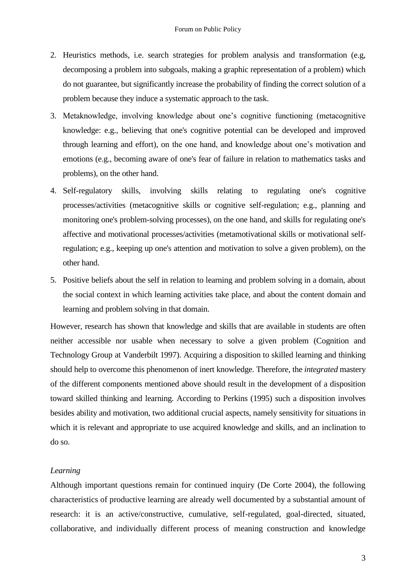- 2. Heuristics methods, i.e. search strategies for problem analysis and transformation (e.g, decomposing a problem into subgoals, making a graphic representation of a problem) which do not guarantee, but significantly increase the probability of finding the correct solution of a problem because they induce a systematic approach to the task.
- 3. Metaknowledge, involving knowledge about one"s cognitive functioning (metacognitive knowledge: e.g., believing that one's cognitive potential can be developed and improved through learning and effort), on the one hand, and knowledge about one"s motivation and emotions (e.g., becoming aware of one's fear of failure in relation to mathematics tasks and problems), on the other hand.
- 4. Self-regulatory skills, involving skills relating to regulating one's cognitive processes/activities (metacognitive skills or cognitive self-regulation; e.g., planning and monitoring one's problem-solving processes), on the one hand, and skills for regulating one's affective and motivational processes/activities (metamotivational skills or motivational selfregulation; e.g., keeping up one's attention and motivation to solve a given problem), on the other hand.
- 5. Positive beliefs about the self in relation to learning and problem solving in a domain, about the social context in which learning activities take place, and about the content domain and learning and problem solving in that domain.

However, research has shown that knowledge and skills that are available in students are often neither accessible nor usable when necessary to solve a given problem (Cognition and Technology Group at Vanderbilt 1997). Acquiring a disposition to skilled learning and thinking should help to overcome this phenomenon of inert knowledge. Therefore, the *integrated* mastery of the different components mentioned above should result in the development of a disposition toward skilled thinking and learning. According to Perkins (1995) such a disposition involves besides ability and motivation, two additional crucial aspects, namely sensitivity for situations in which it is relevant and appropriate to use acquired knowledge and skills, and an inclination to do so.

### *Learning*

Although important questions remain for continued inquiry (De Corte 2004), the following characteristics of productive learning are already well documented by a substantial amount of research: it is an active/constructive, cumulative, self-regulated, goal-directed, situated, collaborative, and individually different process of meaning construction and knowledge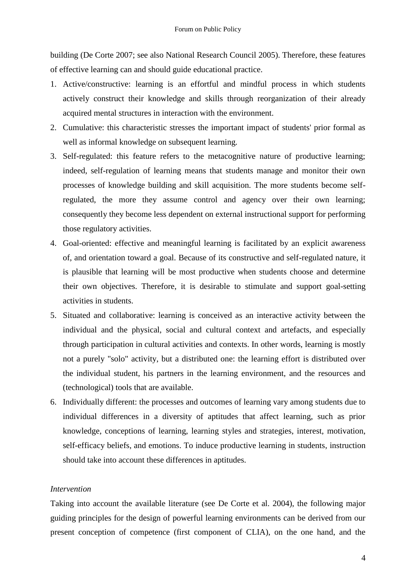building (De Corte 2007; see also National Research Council 2005). Therefore, these features of effective learning can and should guide educational practice.

- 1. Active/constructive: learning is an effortful and mindful process in which students actively construct their knowledge and skills through reorganization of their already acquired mental structures in interaction with the environment.
- 2. Cumulative: this characteristic stresses the important impact of students' prior formal as well as informal knowledge on subsequent learning.
- 3. Self-regulated: this feature refers to the metacognitive nature of productive learning; indeed, self-regulation of learning means that students manage and monitor their own processes of knowledge building and skill acquisition. The more students become selfregulated, the more they assume control and agency over their own learning; consequently they become less dependent on external instructional support for performing those regulatory activities.
- 4. Goal-oriented: effective and meaningful learning is facilitated by an explicit awareness of, and orientation toward a goal. Because of its constructive and self-regulated nature, it is plausible that learning will be most productive when students choose and determine their own objectives. Therefore, it is desirable to stimulate and support goal-setting activities in students.
- 5. Situated and collaborative: learning is conceived as an interactive activity between the individual and the physical, social and cultural context and artefacts, and especially through participation in cultural activities and contexts. In other words, learning is mostly not a purely "solo" activity, but a distributed one: the learning effort is distributed over the individual student, his partners in the learning environment, and the resources and (technological) tools that are available.
- 6. Individually different: the processes and outcomes of learning vary among students due to individual differences in a diversity of aptitudes that affect learning, such as prior knowledge, conceptions of learning, learning styles and strategies, interest, motivation, self-efficacy beliefs, and emotions. To induce productive learning in students, instruction should take into account these differences in aptitudes.

## *Intervention*

Taking into account the available literature (see De Corte et al. 2004), the following major guiding principles for the design of powerful learning environments can be derived from our present conception of competence (first component of CLIA), on the one hand, and the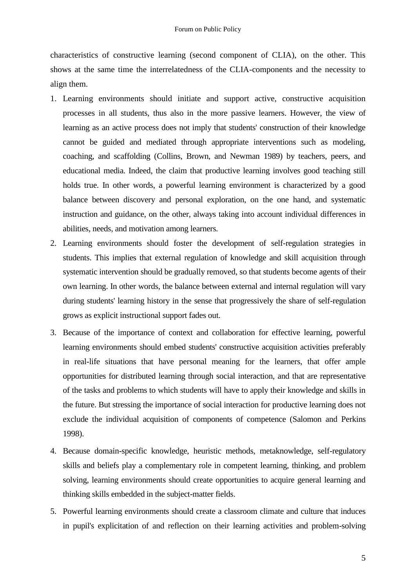characteristics of constructive learning (second component of CLIA), on the other. This shows at the same time the interrelatedness of the CLIA-components and the necessity to align them.

- 1. Learning environments should initiate and support active, constructive acquisition processes in all students, thus also in the more passive learners. However, the view of learning as an active process does not imply that students' construction of their knowledge cannot be guided and mediated through appropriate interventions such as modeling, coaching, and scaffolding (Collins, Brown, and Newman 1989) by teachers, peers, and educational media. Indeed, the claim that productive learning involves good teaching still holds true. In other words, a powerful learning environment is characterized by a good balance between discovery and personal exploration, on the one hand, and systematic instruction and guidance, on the other, always taking into account individual differences in abilities, needs, and motivation among learners.
- 2. Learning environments should foster the development of self-regulation strategies in students. This implies that external regulation of knowledge and skill acquisition through systematic intervention should be gradually removed, so that students become agents of their own learning. In other words, the balance between external and internal regulation will vary during students' learning history in the sense that progressively the share of self-regulation grows as explicit instructional support fades out.
- 3. Because of the importance of context and collaboration for effective learning, powerful learning environments should embed students' constructive acquisition activities preferably in real-life situations that have personal meaning for the learners, that offer ample opportunities for distributed learning through social interaction, and that are representative of the tasks and problems to which students will have to apply their knowledge and skills in the future. But stressing the importance of social interaction for productive learning does not exclude the individual acquisition of components of competence (Salomon and Perkins 1998).
- 4. Because domain-specific knowledge, heuristic methods, metaknowledge, self-regulatory skills and beliefs play a complementary role in competent learning, thinking, and problem solving, learning environments should create opportunities to acquire general learning and thinking skills embedded in the subject-matter fields.
- 5. Powerful learning environments should create a classroom climate and culture that induces in pupil's explicitation of and reflection on their learning activities and problem-solving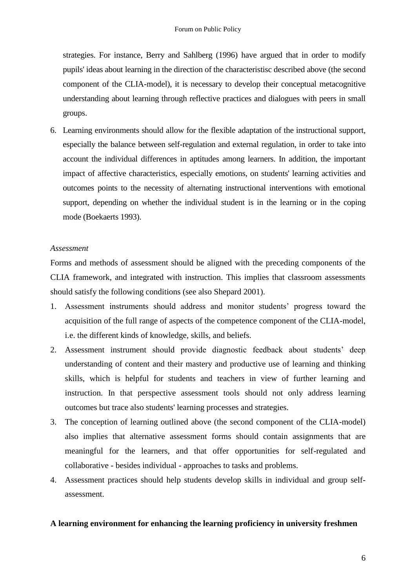strategies. For instance, Berry and Sahlberg (1996) have argued that in order to modify pupils' ideas about learning in the direction of the characteristisc described above (the second component of the CLIA-model), it is necessary to develop their conceptual metacognitive understanding about learning through reflective practices and dialogues with peers in small groups.

6. Learning environments should allow for the flexible adaptation of the instructional support, especially the balance between self-regulation and external regulation, in order to take into account the individual differences in aptitudes among learners. In addition, the important impact of affective characteristics, especially emotions, on students' learning activities and outcomes points to the necessity of alternating instructional interventions with emotional support, depending on whether the individual student is in the learning or in the coping mode (Boekaerts 1993).

### *Assessment*

Forms and methods of assessment should be aligned with the preceding components of the CLIA framework, and integrated with instruction. This implies that classroom assessments should satisfy the following conditions (see also Shepard 2001).

- 1. Assessment instruments should address and monitor students" progress toward the acquisition of the full range of aspects of the competence component of the CLIA-model, i.e. the different kinds of knowledge, skills, and beliefs.
- 2. Assessment instrument should provide diagnostic feedback about students' deep understanding of content and their mastery and productive use of learning and thinking skills, which is helpful for students and teachers in view of further learning and instruction. In that perspective assessment tools should not only address learning outcomes but trace also students' learning processes and strategies.
- 3. The conception of learning outlined above (the second component of the CLIA-model) also implies that alternative assessment forms should contain assignments that are meaningful for the learners, and that offer opportunities for self-regulated and collaborative - besides individual - approaches to tasks and problems.
- 4. Assessment practices should help students develop skills in individual and group selfassessment.

### **A learning environment for enhancing the learning proficiency in university freshmen**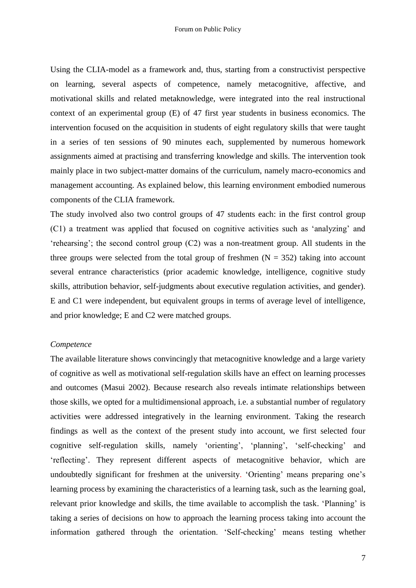Using the CLIA-model as a framework and, thus, starting from a constructivist perspective on learning, several aspects of competence, namely metacognitive, affective, and motivational skills and related metaknowledge, were integrated into the real instructional context of an experimental group (E) of 47 first year students in business economics. The intervention focused on the acquisition in students of eight regulatory skills that were taught in a series of ten sessions of 90 minutes each, supplemented by numerous homework assignments aimed at practising and transferring knowledge and skills. The intervention took mainly place in two subject-matter domains of the curriculum, namely macro-economics and management accounting. As explained below, this learning environment embodied numerous components of the CLIA framework.

The study involved also two control groups of 47 students each: in the first control group (C1) a treatment was applied that focused on cognitive activities such as "analyzing" and "rehearsing"; the second control group  $(C2)$  was a non-treatment group. All students in the three groups were selected from the total group of freshmen  $(N = 352)$  taking into account several entrance characteristics (prior academic knowledge, intelligence, cognitive study skills, attribution behavior, self-judgments about executive regulation activities, and gender). E and C1 were independent, but equivalent groups in terms of average level of intelligence, and prior knowledge; E and C2 were matched groups.

#### *Competence*

The available literature shows convincingly that metacognitive knowledge and a large variety of cognitive as well as motivational self-regulation skills have an effect on learning processes and outcomes (Masui 2002). Because research also reveals intimate relationships between those skills, we opted for a multidimensional approach, i.e. a substantial number of regulatory activities were addressed integratively in the learning environment. Taking the research findings as well as the context of the present study into account, we first selected four cognitive self-regulation skills, namely 'orienting', 'planning', 'self-checking' and "reflecting". They represent different aspects of metacognitive behavior, which are undoubtedly significant for freshmen at the university. 'Orienting' means preparing one's learning process by examining the characteristics of a learning task, such as the learning goal, relevant prior knowledge and skills, the time available to accomplish the task. "Planning" is taking a series of decisions on how to approach the learning process taking into account the information gathered through the orientation. "Self-checking" means testing whether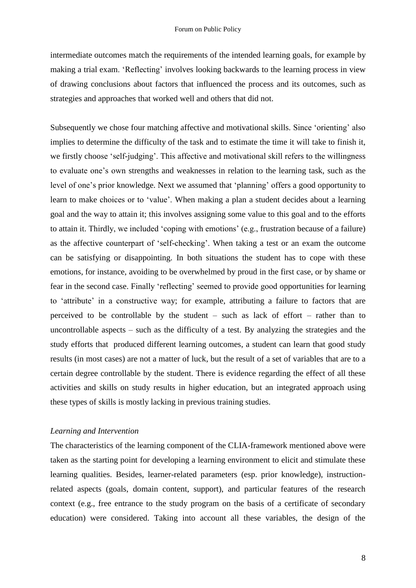intermediate outcomes match the requirements of the intended learning goals, for example by making a trial exam. 'Reflecting' involves looking backwards to the learning process in view of drawing conclusions about factors that influenced the process and its outcomes, such as strategies and approaches that worked well and others that did not.

Subsequently we chose four matching affective and motivational skills. Since "orienting" also implies to determine the difficulty of the task and to estimate the time it will take to finish it, we firstly choose "self-judging". This affective and motivational skill refers to the willingness to evaluate one's own strengths and weaknesses in relation to the learning task, such as the level of one"s prior knowledge. Next we assumed that "planning" offers a good opportunity to learn to make choices or to "value". When making a plan a student decides about a learning goal and the way to attain it; this involves assigning some value to this goal and to the efforts to attain it. Thirdly, we included "coping with emotions" (e.g., frustration because of a failure) as the affective counterpart of "self-checking". When taking a test or an exam the outcome can be satisfying or disappointing. In both situations the student has to cope with these emotions, for instance, avoiding to be overwhelmed by proud in the first case, or by shame or fear in the second case. Finally "reflecting" seemed to provide good opportunities for learning to "attribute" in a constructive way; for example, attributing a failure to factors that are perceived to be controllable by the student – such as lack of effort – rather than to uncontrollable aspects – such as the difficulty of a test. By analyzing the strategies and the study efforts that produced different learning outcomes, a student can learn that good study results (in most cases) are not a matter of luck, but the result of a set of variables that are to a certain degree controllable by the student. There is evidence regarding the effect of all these activities and skills on study results in higher education, but an integrated approach using these types of skills is mostly lacking in previous training studies.

### *Learning and Intervention*

The characteristics of the learning component of the CLIA-framework mentioned above were taken as the starting point for developing a learning environment to elicit and stimulate these learning qualities. Besides, learner-related parameters (esp. prior knowledge), instructionrelated aspects (goals, domain content, support), and particular features of the research context (e.g., free entrance to the study program on the basis of a certificate of secondary education) were considered. Taking into account all these variables, the design of the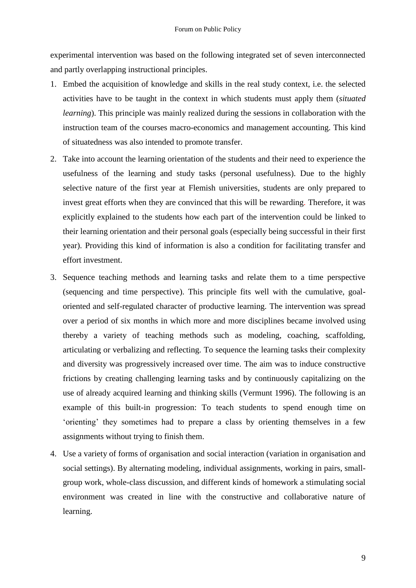experimental intervention was based on the following integrated set of seven interconnected and partly overlapping instructional principles.

- 1. Embed the acquisition of knowledge and skills in the real study context, i.e. the selected activities have to be taught in the context in which students must apply them (*situated learning*). This principle was mainly realized during the sessions in collaboration with the instruction team of the courses macro-economics and management accounting. This kind of situatedness was also intended to promote transfer.
- 2. Take into account the learning orientation of the students and their need to experience the usefulness of the learning and study tasks (personal usefulness). Due to the highly selective nature of the first year at Flemish universities, students are only prepared to invest great efforts when they are convinced that this will be rewarding. Therefore, it was explicitly explained to the students how each part of the intervention could be linked to their learning orientation and their personal goals (especially being successful in their first year). Providing this kind of information is also a condition for facilitating transfer and effort investment.
- 3. Sequence teaching methods and learning tasks and relate them to a time perspective (sequencing and time perspective). This principle fits well with the cumulative, goaloriented and self-regulated character of productive learning. The intervention was spread over a period of six months in which more and more disciplines became involved using thereby a variety of teaching methods such as modeling, coaching, scaffolding, articulating or verbalizing and reflecting. To sequence the learning tasks their complexity and diversity was progressively increased over time. The aim was to induce constructive frictions by creating challenging learning tasks and by continuously capitalizing on the use of already acquired learning and thinking skills (Vermunt 1996). The following is an example of this built-in progression: To teach students to spend enough time on "orienting" they sometimes had to prepare a class by orienting themselves in a few assignments without trying to finish them.
- 4. Use a variety of forms of organisation and social interaction (variation in organisation and social settings). By alternating modeling, individual assignments, working in pairs, smallgroup work, whole-class discussion, and different kinds of homework a stimulating social environment was created in line with the constructive and collaborative nature of learning.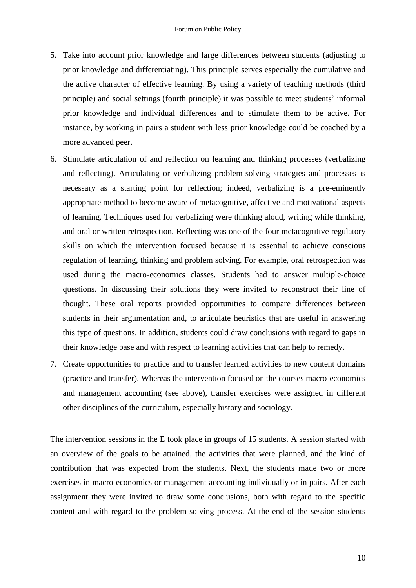- 5. Take into account prior knowledge and large differences between students (adjusting to prior knowledge and differentiating). This principle serves especially the cumulative and the active character of effective learning. By using a variety of teaching methods (third principle) and social settings (fourth principle) it was possible to meet students" informal prior knowledge and individual differences and to stimulate them to be active. For instance, by working in pairs a student with less prior knowledge could be coached by a more advanced peer.
- 6. Stimulate articulation of and reflection on learning and thinking processes (verbalizing and reflecting). Articulating or verbalizing problem-solving strategies and processes is necessary as a starting point for reflection; indeed, verbalizing is a pre-eminently appropriate method to become aware of metacognitive, affective and motivational aspects of learning. Techniques used for verbalizing were thinking aloud, writing while thinking, and oral or written retrospection. Reflecting was one of the four metacognitive regulatory skills on which the intervention focused because it is essential to achieve conscious regulation of learning, thinking and problem solving. For example, oral retrospection was used during the macro-economics classes. Students had to answer multiple-choice questions. In discussing their solutions they were invited to reconstruct their line of thought. These oral reports provided opportunities to compare differences between students in their argumentation and, to articulate heuristics that are useful in answering this type of questions. In addition, students could draw conclusions with regard to gaps in their knowledge base and with respect to learning activities that can help to remedy.
- 7. Create opportunities to practice and to transfer learned activities to new content domains (practice and transfer). Whereas the intervention focused on the courses macro-economics and management accounting (see above), transfer exercises were assigned in different other disciplines of the curriculum, especially history and sociology.

The intervention sessions in the E took place in groups of 15 students. A session started with an overview of the goals to be attained, the activities that were planned, and the kind of contribution that was expected from the students. Next, the students made two or more exercises in macro-economics or management accounting individually or in pairs. After each assignment they were invited to draw some conclusions, both with regard to the specific content and with regard to the problem-solving process. At the end of the session students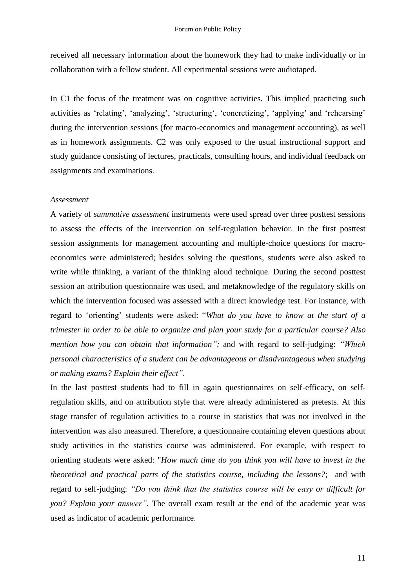received all necessary information about the homework they had to make individually or in collaboration with a fellow student. All experimental sessions were audiotaped.

In C1 the focus of the treatment was on cognitive activities. This implied practicing such activities as 'relating', 'analyzing', 'structuring', 'concretizing', 'applying' and 'rehearsing' during the intervention sessions (for macro-economics and management accounting), as well as in homework assignments. C2 was only exposed to the usual instructional support and study guidance consisting of lectures, practicals, consulting hours, and individual feedback on assignments and examinations.

#### *Assessment*

A variety of *summative assessment* instruments were used spread over three posttest sessions to assess the effects of the intervention on self-regulation behavior. In the first posttest session assignments for management accounting and multiple-choice questions for macroeconomics were administered; besides solving the questions, students were also asked to write while thinking, a variant of the thinking aloud technique. During the second posttest session an attribution questionnaire was used, and metaknowledge of the regulatory skills on which the intervention focused was assessed with a direct knowledge test. For instance, with regard to "orienting" students were asked: "*What do you have to know at the start of a trimester in order to be able to organize and plan your study for a particular course? Also mention how you can obtain that information";* and with regard to self-judging: *"Which personal characteristics of a student can be advantageous or disadvantageous when studying or making exams? Explain their effect"*.

In the last posttest students had to fill in again questionnaires on self-efficacy, on selfregulation skills, and on attribution style that were already administered as pretests. At this stage transfer of regulation activities to a course in statistics that was not involved in the intervention was also measured. Therefore, a questionnaire containing eleven questions about study activities in the statistics course was administered. For example, with respect to orienting students were asked: "*How much time do you think you will have to invest in the theoretical and practical parts of the statistics course, including the lessons?*; and with regard to self-judging: *"Do you think that the statistics course will be easy or difficult for you? Explain your answer"*. The overall exam result at the end of the academic year was used as indicator of academic performance.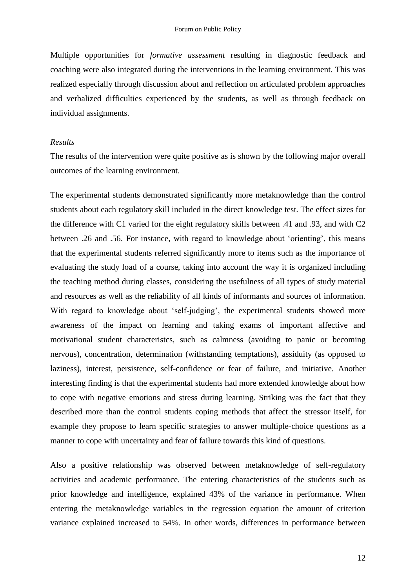Multiple opportunities for *formative assessment* resulting in diagnostic feedback and coaching were also integrated during the interventions in the learning environment. This was realized especially through discussion about and reflection on articulated problem approaches and verbalized difficulties experienced by the students, as well as through feedback on individual assignments.

### *Results*

The results of the intervention were quite positive as is shown by the following major overall outcomes of the learning environment.

The experimental students demonstrated significantly more metaknowledge than the control students about each regulatory skill included in the direct knowledge test. The effect sizes for the difference with C1 varied for the eight regulatory skills between .41 and .93, and with C2 between .26 and .56. For instance, with regard to knowledge about "orienting", this means that the experimental students referred significantly more to items such as the importance of evaluating the study load of a course, taking into account the way it is organized including the teaching method during classes, considering the usefulness of all types of study material and resources as well as the reliability of all kinds of informants and sources of information. With regard to knowledge about 'self-judging', the experimental students showed more awareness of the impact on learning and taking exams of important affective and motivational student characteristcs, such as calmness (avoiding to panic or becoming nervous), concentration, determination (withstanding temptations), assiduity (as opposed to laziness), interest, persistence, self-confidence or fear of failure, and initiative. Another interesting finding is that the experimental students had more extended knowledge about how to cope with negative emotions and stress during learning. Striking was the fact that they described more than the control students coping methods that affect the stressor itself, for example they propose to learn specific strategies to answer multiple-choice questions as a manner to cope with uncertainty and fear of failure towards this kind of questions.

Also a positive relationship was observed between metaknowledge of self-regulatory activities and academic performance. The entering characteristics of the students such as prior knowledge and intelligence, explained 43% of the variance in performance. When entering the metaknowledge variables in the regression equation the amount of criterion variance explained increased to 54%. In other words, differences in performance between

12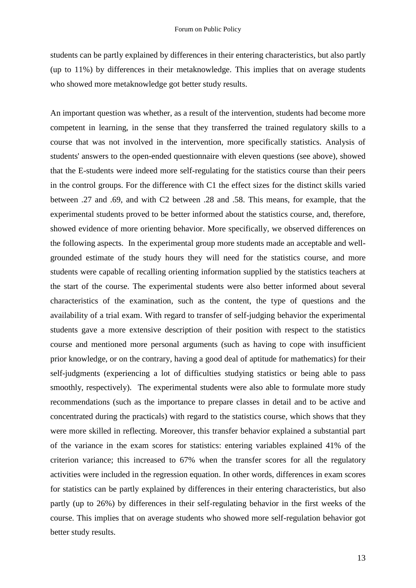students can be partly explained by differences in their entering characteristics, but also partly (up to 11%) by differences in their metaknowledge. This implies that on average students who showed more metaknowledge got better study results.

An important question was whether, as a result of the intervention, students had become more competent in learning, in the sense that they transferred the trained regulatory skills to a course that was not involved in the intervention, more specifically statistics. Analysis of students' answers to the open-ended questionnaire with eleven questions (see above), showed that the E-students were indeed more self-regulating for the statistics course than their peers in the control groups. For the difference with C1 the effect sizes for the distinct skills varied between .27 and .69, and with C2 between .28 and .58. This means, for example, that the experimental students proved to be better informed about the statistics course, and, therefore, showed evidence of more orienting behavior. More specifically, we observed differences on the following aspects. In the experimental group more students made an acceptable and wellgrounded estimate of the study hours they will need for the statistics course, and more students were capable of recalling orienting information supplied by the statistics teachers at the start of the course. The experimental students were also better informed about several characteristics of the examination, such as the content, the type of questions and the availability of a trial exam. With regard to transfer of self-judging behavior the experimental students gave a more extensive description of their position with respect to the statistics course and mentioned more personal arguments (such as having to cope with insufficient prior knowledge, or on the contrary, having a good deal of aptitude for mathematics) for their self-judgments (experiencing a lot of difficulties studying statistics or being able to pass smoothly, respectively). The experimental students were also able to formulate more study recommendations (such as the importance to prepare classes in detail and to be active and concentrated during the practicals) with regard to the statistics course, which shows that they were more skilled in reflecting. Moreover, this transfer behavior explained a substantial part of the variance in the exam scores for statistics: entering variables explained 41% of the criterion variance; this increased to 67% when the transfer scores for all the regulatory activities were included in the regression equation. In other words, differences in exam scores for statistics can be partly explained by differences in their entering characteristics, but also partly (up to 26%) by differences in their self-regulating behavior in the first weeks of the course. This implies that on average students who showed more self-regulation behavior got better study results.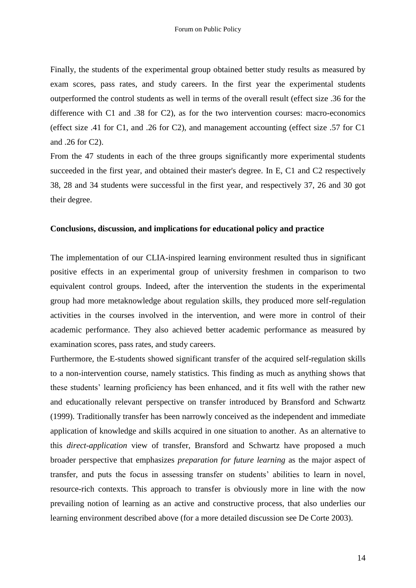Finally, the students of the experimental group obtained better study results as measured by exam scores, pass rates, and study careers. In the first year the experimental students outperformed the control students as well in terms of the overall result (effect size .36 for the difference with C1 and .38 for C2), as for the two intervention courses: macro-economics (effect size .41 for C1, and .26 for C2), and management accounting (effect size .57 for C1 and .26 for C2).

From the 47 students in each of the three groups significantly more experimental students succeeded in the first year, and obtained their master's degree. In E, C1 and C2 respectively 38, 28 and 34 students were successful in the first year, and respectively 37, 26 and 30 got their degree.

### **Conclusions, discussion, and implications for educational policy and practice**

The implementation of our CLIA-inspired learning environment resulted thus in significant positive effects in an experimental group of university freshmen in comparison to two equivalent control groups. Indeed, after the intervention the students in the experimental group had more metaknowledge about regulation skills, they produced more self-regulation activities in the courses involved in the intervention, and were more in control of their academic performance. They also achieved better academic performance as measured by examination scores, pass rates, and study careers.

Furthermore, the E-students showed significant transfer of the acquired self-regulation skills to a non-intervention course, namely statistics. This finding as much as anything shows that these students" learning proficiency has been enhanced, and it fits well with the rather new and educationally relevant perspective on transfer introduced by Bransford and Schwartz (1999). Traditionally transfer has been narrowly conceived as the independent and immediate application of knowledge and skills acquired in one situation to another. As an alternative to this *direct-application* view of transfer, Bransford and Schwartz have proposed a much broader perspective that emphasizes *preparation for future learning* as the major aspect of transfer, and puts the focus in assessing transfer on students" abilities to learn in novel, resource-rich contexts. This approach to transfer is obviously more in line with the now prevailing notion of learning as an active and constructive process, that also underlies our learning environment described above (for a more detailed discussion see De Corte 2003).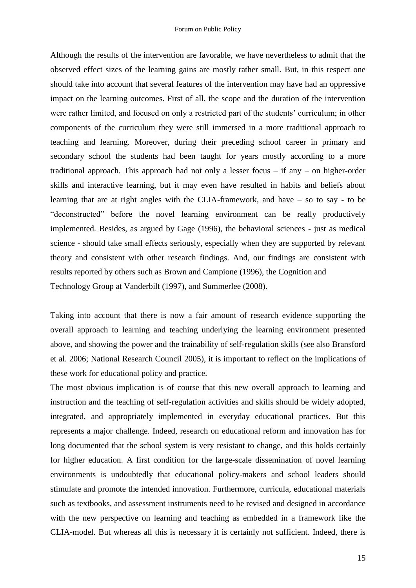Although the results of the intervention are favorable, we have nevertheless to admit that the observed effect sizes of the learning gains are mostly rather small. But, in this respect one should take into account that several features of the intervention may have had an oppressive impact on the learning outcomes. First of all, the scope and the duration of the intervention were rather limited, and focused on only a restricted part of the students' curriculum; in other components of the curriculum they were still immersed in a more traditional approach to teaching and learning. Moreover, during their preceding school career in primary and secondary school the students had been taught for years mostly according to a more traditional approach. This approach had not only a lesser focus  $-$  if any  $-$  on higher-order skills and interactive learning, but it may even have resulted in habits and beliefs about learning that are at right angles with the CLIA-framework, and have – so to say - to be "deconstructed" before the novel learning environment can be really productively implemented. Besides, as argued by Gage (1996), the behavioral sciences - just as medical science - should take small effects seriously, especially when they are supported by relevant theory and consistent with other research findings. And, our findings are consistent with results reported by others such as Brown and Campione (1996), the Cognition and Technology Group at Vanderbilt (1997), and Summerlee (2008).

Taking into account that there is now a fair amount of research evidence supporting the overall approach to learning and teaching underlying the learning environment presented above, and showing the power and the trainability of self-regulation skills (see also Bransford et al. 2006; National Research Council 2005), it is important to reflect on the implications of these work for educational policy and practice.

The most obvious implication is of course that this new overall approach to learning and instruction and the teaching of self-regulation activities and skills should be widely adopted, integrated, and appropriately implemented in everyday educational practices. But this represents a major challenge. Indeed, research on educational reform and innovation has for long documented that the school system is very resistant to change, and this holds certainly for higher education. A first condition for the large-scale dissemination of novel learning environments is undoubtedly that educational policy-makers and school leaders should stimulate and promote the intended innovation. Furthermore, curricula, educational materials such as textbooks, and assessment instruments need to be revised and designed in accordance with the new perspective on learning and teaching as embedded in a framework like the CLIA-model. But whereas all this is necessary it is certainly not sufficient. Indeed, there is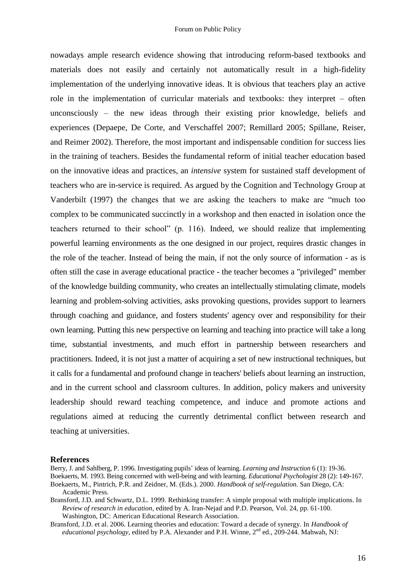nowadays ample research evidence showing that introducing reform-based textbooks and materials does not easily and certainly not automatically result in a high-fidelity implementation of the underlying innovative ideas. It is obvious that teachers play an active role in the implementation of curricular materials and textbooks: they interpret – often unconsciously – the new ideas through their existing prior knowledge, beliefs and experiences (Depaepe, De Corte, and Verschaffel 2007; Remillard 2005; Spillane, Reiser, and Reimer 2002). Therefore, the most important and indispensable condition for success lies in the training of teachers. Besides the fundamental reform of initial teacher education based on the innovative ideas and practices, an *intensive* system for sustained staff development of teachers who are in-service is required. As argued by the Cognition and Technology Group at Vanderbilt (1997) the changes that we are asking the teachers to make are "much too complex to be communicated succinctly in a workshop and then enacted in isolation once the teachers returned to their school" (p. 116). Indeed, we should realize that implementing powerful learning environments as the one designed in our project, requires drastic changes in the role of the teacher. Instead of being the main, if not the only source of information - as is often still the case in average educational practice - the teacher becomes a "privileged" member of the knowledge building community, who creates an intellectually stimulating climate, models learning and problem-solving activities, asks provoking questions, provides support to learners through coaching and guidance, and fosters students' agency over and responsibility for their own learning. Putting this new perspective on learning and teaching into practice will take a long time, substantial investments, and much effort in partnership between researchers and practitioners. Indeed, it is not just a matter of acquiring a set of new instructional techniques, but it calls for a fundamental and profound change in teachers' beliefs about learning an instruction, and in the current school and classroom cultures. In addition, policy makers and university leadership should reward teaching competence, and induce and promote actions and regulations aimed at reducing the currently detrimental conflict between research and teaching at universities.

#### **References**

Berry, J. and Sahlberg, P. 1996. Investigating pupils" ideas of learning. *Learning and Instruction* 6 (1): 19-36.

Boekaerts, M. 1993. Being concerned with well-being and with learning. *Educational Psychologist* 28 (2): 149-167. Boekaerts, M., Pintrich, P.R. and Zeidner, M. (Eds.). 2000. *Handbook of self-regulation.* San Diego, CA: Academic Press.

Bransford, J.D. and Schwartz, D.L. 1999. Rethinking transfer: A simple proposal with multiple implications. In *Review of research in education*, edited by A. Iran-Nejad and P.D. Pearson, Vol. 24, pp. 61-100. Washington, DC: American Educational Research Association.

Bransford, J.D. et al. 2006. Learning theories and education: Toward a decade of synergy. In *Handbook of educational psychology*, edited by P.A. Alexander and P.H. Winne, 2<sup>nd</sup> ed., 209-244. Mahwah, NJ: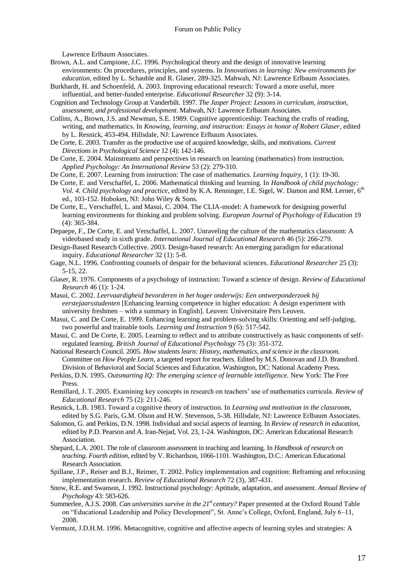Lawrence Erlbaum Associates.

- Brown, A.L. and Campione, J.C. 1996. Psychological theory and the design of innovative learning environments: On procedures, principles, and systems. In *Innovations in learning: New environments for education*, edited by L. Schauble and R. Glaser, 289-325. Mahwah, NJ: Lawrence Erlbaum Associates.
- Burkhardt, H. and Schoenfeld, A. 2003. Improving educational research: Toward a more useful, more influential, and better-funded enterprise. *Educational Researcher* 32 (9): 3-14.
- Cognition and Technology Group at Vanderbilt. 1997. *The Jasper Project: Lessons in curriculum, instruction, assessment, and professional development*. Mahwah, NJ: Lawrence Erlbaum Associates.
- Collins, A., Brown, J.S. and Newman, S.E. 1989. Cognitive apprenticeship: Teaching the crafts of reading, writing, and mathematics. In *Knowing, learning, and instruction: Essays in honor of Robert Glaser*, edited by L. Resnick, 453-494. Hillsdale, NJ: Lawrence Erlbaum Associates.
- De Corte, E. 2003. Transfer as the productive use of acquired knowledge, skills, and motivations. *Current Directions in Psychological Science* 12 (4): 142-146.
- De Corte, E. 2004. Mainstreams and perspectives in research on learning (mathematics) from instruction. *Applied Psychology: An International Review* 53 (2): 279-310.
- De Corte, E. 2007. Learning from instruction: The case of mathematics. *Learning Inquiry,* 1 (1): 19-30.
- De Corte, E. and Verschaffel, L. 2006. Mathematical thinking and learning. In *Handbook of child psychology:*  Vol. 4. Child psychology and practice, edited by K.A. Renninger, I.E. Sigel, W. Damon and RM. Lerner, 6<sup>th</sup> ed., 103-152. Hoboken, NJ: John Wiley & Sons.
- De Corte, E., Verschaffel, L. and Masui, C. 2004. The CLIA-model: A framework for designing powerful learning environments for thinking and problem solving. *European Journal of Psychology of Education* 19 (4): 365-384.
- Depaepe, F., De Corte, E. and Verschaffel, L. 2007. Unraveling the culture of the mathematics classroom: A videobased study in sixth grade. *International Journal of Educational Research* 46 (5): 266-279.
- Design-Based Research Collective. 2003. Design-based research: An emerging paradigm for educational inquiry. *Educational Researcher* 32 (1): 5-8.
- Gage, N.L. 1996. Confronting counsels of despair for the behavioral sciences. *Educational Researcher* 25 (3): 5-15, 22.
- Glaser, R. 1976. Components of a psychology of instruction: Toward a science of design. *Review of Educational Research* 46 (1): 1-24.
- Masui, C. 2002. *Leervaardigheid bevorderen in het hoger onderwijs: Een ontwerponderzoek bij eerstejaarsstudenten* [Enhancing learning competence in higher education: A design experiment with university freshmen – with a summary in English]. Leuven: Universitaire Pers Leuven.
- Masui, C. and De Corte, E. 1999. Enhancing learning and problem-solving skills: Orienting and self-judging, two powerful and trainable tools. *Learning and Instruction* 9 (6): 517-542.
- Masui, C. and De Corte, E. 2005. Learning to reflect and to attribute constructively as basic components of selfregulated learning. *British Journal of Educational Psychology* 75 (3): 351-372.
- National Research Council. 2005. *How students learn: History, mathematics, and science in the classroom.*  Committee on *How People Learn*, a targeted report for teachers. Edited by M.S. Donovan and J.D. Bransford. Division of Behavioral and Social Sciences and Education. Washington, DC: National Academy Press.
- Perkins, D.N. 1995. *Outsmarting IQ: The emerging science of learnable intelligence*. New York: The Free Press.
- Remillard, J. T. 2005. Examining key concepts in research on teachers" use of mathematics curricula. *Review of Educational Research* 75 (2): 211-246.
- Resnick, L.B. 1983. Toward a cognitive theory of instruction. In *Learning and motivation in the classroom*, edited by S.G. Paris, G.M. Olson and H.W. Stevenson, 5-38. Hillsdale, NJ: Lawrence Erlbaum Associates.
- Salomon, G. and Perkins, D.N. 1998. Individual and social aspects of learning. In *Review of research in education*, edited by P.D. Pearson and A. Iran-Nejad, Vol. 23, 1-24. Washington, DC: American Educational Research Association.
- Shepard, L.A. 2001. The role of classroom assessment in teaching and learning. In *Handbook of research on teaching. Fourth edition*, edited by V. Richardson, 1066-1101. Washington, D.C.: American Educational Research Association.
- Spillane, J.P., Reiser and B.J., Reimer, T. 2002. Policy implementation and cognition: Reframing and refocusing implementation research. *Review of Educational Research* 72 (3), 387-431.
- Snow, R.E. and Swanson, J. 1992. Instructional psychology: Aptitude, adaptation, and assessment. *Annual Review of Psychology* 43: 583-626.
- Summerlee, A.J.S. 2008. *Can universities survive in the 21st century?* Paper presented at the Oxford Round Table on "Educational Leadership and Policy Development", St. Anne"s College, Oxford, England, July 6–11, 2008.
- Vermunt, J.D.H.M. 1996. Metacognitive, cognitive and affective aspects of learning styles and strategies: A